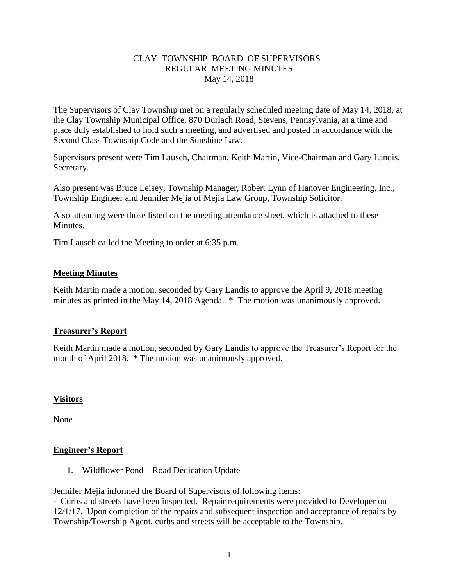## CLAY TOWNSHIP BOARD OF SUPERVISORS REGULAR MEETING MINUTES May 14, 2018

The Supervisors of Clay Township met on a regularly scheduled meeting date of May 14, 2018, at the Clay Township Municipal Office, 870 Durlach Road, Stevens, Pennsylvania, at a time and place duly established to hold such a meeting, and advertised and posted in accordance with the Second Class Township Code and the Sunshine Law.

Supervisors present were Tim Lausch, Chairman, Keith Martin, Vice-Chairman and Gary Landis, Secretary.

Also present was Bruce Leisey, Township Manager, Robert Lynn of Hanover Engineering, Inc., Township Engineer and Jennifer Mejia of Mejia Law Group, Township Solicitor.

Also attending were those listed on the meeting attendance sheet, which is attached to these **Minutes** 

Tim Lausch called the Meeting to order at 6:35 p.m.

### **Meeting Minutes**

Keith Martin made a motion, seconded by Gary Landis to approve the April 9, 2018 meeting minutes as printed in the May 14, 2018 Agenda. \* The motion was unanimously approved.

## **Treasurer's Report**

Keith Martin made a motion, seconded by Gary Landis to approve the Treasurer's Report for the month of April 2018. \* The motion was unanimously approved.

#### **Visitors**

None

#### **Engineer's Report**

1. Wildflower Pond – Road Dedication Update

Jennifer Mejia informed the Board of Supervisors of following items:

- Curbs and streets have been inspected. Repair requirements were provided to Developer on 12/1/17. Upon completion of the repairs and subsequent inspection and acceptance of repairs by Township/Township Agent, curbs and streets will be acceptable to the Township.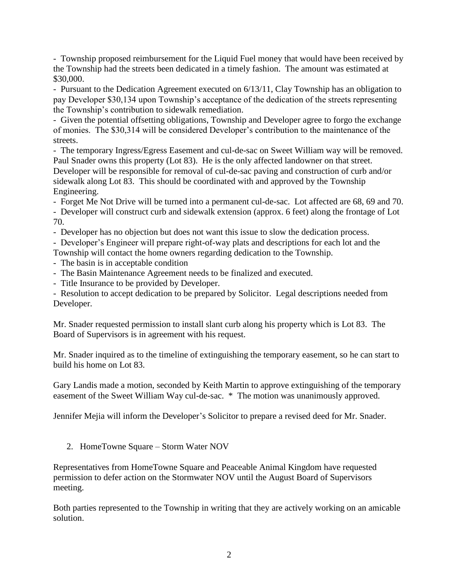- Township proposed reimbursement for the Liquid Fuel money that would have been received by the Township had the streets been dedicated in a timely fashion. The amount was estimated at \$30,000.

- Pursuant to the Dedication Agreement executed on 6/13/11, Clay Township has an obligation to pay Developer \$30,134 upon Township's acceptance of the dedication of the streets representing the Township's contribution to sidewalk remediation.

- Given the potential offsetting obligations, Township and Developer agree to forgo the exchange of monies. The \$30,314 will be considered Developer's contribution to the maintenance of the streets.

- The temporary Ingress/Egress Easement and cul-de-sac on Sweet William way will be removed. Paul Snader owns this property (Lot 83). He is the only affected landowner on that street. Developer will be responsible for removal of cul-de-sac paving and construction of curb and/or sidewalk along Lot 83. This should be coordinated with and approved by the Township Engineering.

- Forget Me Not Drive will be turned into a permanent cul-de-sac. Lot affected are 68, 69 and 70.

- Developer will construct curb and sidewalk extension (approx. 6 feet) along the frontage of Lot 70.

- Developer has no objection but does not want this issue to slow the dedication process.

- Developer's Engineer will prepare right-of-way plats and descriptions for each lot and the

Township will contact the home owners regarding dedication to the Township.

- The basin is in acceptable condition
- The Basin Maintenance Agreement needs to be finalized and executed.
- Title Insurance to be provided by Developer.

- Resolution to accept dedication to be prepared by Solicitor. Legal descriptions needed from Developer.

Mr. Snader requested permission to install slant curb along his property which is Lot 83. The Board of Supervisors is in agreement with his request.

Mr. Snader inquired as to the timeline of extinguishing the temporary easement, so he can start to build his home on Lot 83.

Gary Landis made a motion, seconded by Keith Martin to approve extinguishing of the temporary easement of the Sweet William Way cul-de-sac. \* The motion was unanimously approved.

Jennifer Mejia will inform the Developer's Solicitor to prepare a revised deed for Mr. Snader.

2. HomeTowne Square – Storm Water NOV

Representatives from HomeTowne Square and Peaceable Animal Kingdom have requested permission to defer action on the Stormwater NOV until the August Board of Supervisors meeting.

Both parties represented to the Township in writing that they are actively working on an amicable solution.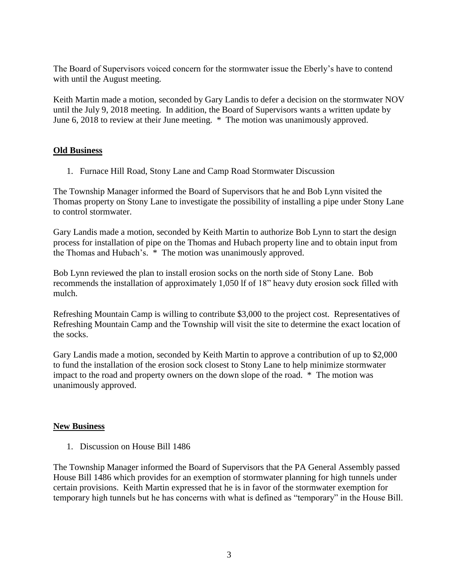The Board of Supervisors voiced concern for the stormwater issue the Eberly's have to contend with until the August meeting.

Keith Martin made a motion, seconded by Gary Landis to defer a decision on the stormwater NOV until the July 9, 2018 meeting. In addition, the Board of Supervisors wants a written update by June 6, 2018 to review at their June meeting. \* The motion was unanimously approved.

## **Old Business**

1. Furnace Hill Road, Stony Lane and Camp Road Stormwater Discussion

The Township Manager informed the Board of Supervisors that he and Bob Lynn visited the Thomas property on Stony Lane to investigate the possibility of installing a pipe under Stony Lane to control stormwater.

Gary Landis made a motion, seconded by Keith Martin to authorize Bob Lynn to start the design process for installation of pipe on the Thomas and Hubach property line and to obtain input from the Thomas and Hubach's. \* The motion was unanimously approved.

Bob Lynn reviewed the plan to install erosion socks on the north side of Stony Lane. Bob recommends the installation of approximately 1,050 lf of 18" heavy duty erosion sock filled with mulch.

Refreshing Mountain Camp is willing to contribute \$3,000 to the project cost. Representatives of Refreshing Mountain Camp and the Township will visit the site to determine the exact location of the socks.

Gary Landis made a motion, seconded by Keith Martin to approve a contribution of up to \$2,000 to fund the installation of the erosion sock closest to Stony Lane to help minimize stormwater impact to the road and property owners on the down slope of the road. \* The motion was unanimously approved.

## **New Business**

1. Discussion on House Bill 1486

The Township Manager informed the Board of Supervisors that the PA General Assembly passed House Bill 1486 which provides for an exemption of stormwater planning for high tunnels under certain provisions. Keith Martin expressed that he is in favor of the stormwater exemption for temporary high tunnels but he has concerns with what is defined as "temporary" in the House Bill.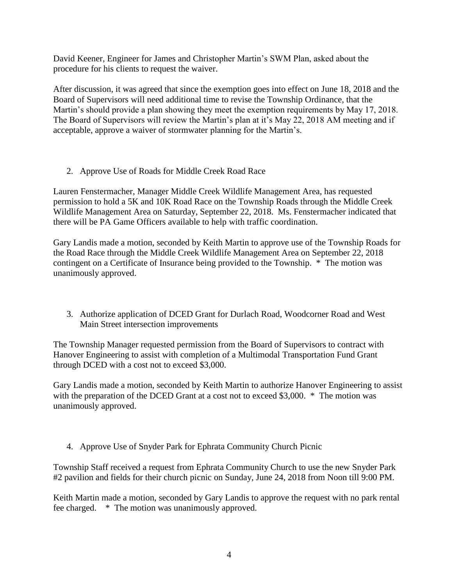David Keener, Engineer for James and Christopher Martin's SWM Plan, asked about the procedure for his clients to request the waiver.

After discussion, it was agreed that since the exemption goes into effect on June 18, 2018 and the Board of Supervisors will need additional time to revise the Township Ordinance, that the Martin's should provide a plan showing they meet the exemption requirements by May 17, 2018. The Board of Supervisors will review the Martin's plan at it's May 22, 2018 AM meeting and if acceptable, approve a waiver of stormwater planning for the Martin's.

2. Approve Use of Roads for Middle Creek Road Race

Lauren Fenstermacher, Manager Middle Creek Wildlife Management Area, has requested permission to hold a 5K and 10K Road Race on the Township Roads through the Middle Creek Wildlife Management Area on Saturday, September 22, 2018. Ms. Fenstermacher indicated that there will be PA Game Officers available to help with traffic coordination.

Gary Landis made a motion, seconded by Keith Martin to approve use of the Township Roads for the Road Race through the Middle Creek Wildlife Management Area on September 22, 2018 contingent on a Certificate of Insurance being provided to the Township. \* The motion was unanimously approved.

3. Authorize application of DCED Grant for Durlach Road, Woodcorner Road and West Main Street intersection improvements

The Township Manager requested permission from the Board of Supervisors to contract with Hanover Engineering to assist with completion of a Multimodal Transportation Fund Grant through DCED with a cost not to exceed \$3,000.

Gary Landis made a motion, seconded by Keith Martin to authorize Hanover Engineering to assist with the preparation of the DCED Grant at a cost not to exceed \$3,000. \* The motion was unanimously approved.

4. Approve Use of Snyder Park for Ephrata Community Church Picnic

Township Staff received a request from Ephrata Community Church to use the new Snyder Park #2 pavilion and fields for their church picnic on Sunday, June 24, 2018 from Noon till 9:00 PM.

Keith Martin made a motion, seconded by Gary Landis to approve the request with no park rental fee charged. \* The motion was unanimously approved.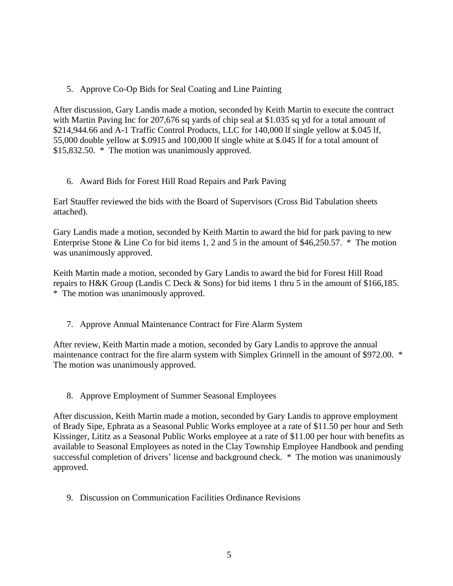5. Approve Co-Op Bids for Seal Coating and Line Painting

After discussion, Gary Landis made a motion, seconded by Keith Martin to execute the contract with Martin Paving Inc for 207,676 sq yards of chip seal at \$1.035 sq yd for a total amount of \$214,944.66 and A-1 Traffic Control Products, LLC for 140,000 lf single yellow at \$.045 lf, 55,000 double yellow at \$.0915 and 100,000 lf single white at \$.045 lf for a total amount of \$15,832.50. \* The motion was unanimously approved.

6. Award Bids for Forest Hill Road Repairs and Park Paving

Earl Stauffer reviewed the bids with the Board of Supervisors (Cross Bid Tabulation sheets attached).

Gary Landis made a motion, seconded by Keith Martin to award the bid for park paving to new Enterprise Stone & Line Co for bid items 1, 2 and 5 in the amount of \$46,250.57. \* The motion was unanimously approved.

Keith Martin made a motion, seconded by Gary Landis to award the bid for Forest Hill Road repairs to H&K Group (Landis C Deck & Sons) for bid items 1 thru 5 in the amount of \$166,185. \* The motion was unanimously approved.

7. Approve Annual Maintenance Contract for Fire Alarm System

After review, Keith Martin made a motion, seconded by Gary Landis to approve the annual maintenance contract for the fire alarm system with Simplex Grinnell in the amount of \$972.00. \* The motion was unanimously approved.

8. Approve Employment of Summer Seasonal Employees

After discussion, Keith Martin made a motion, seconded by Gary Landis to approve employment of Brady Sipe, Ephrata as a Seasonal Public Works employee at a rate of \$11.50 per hour and Seth Kissinger, Lititz as a Seasonal Public Works employee at a rate of \$11.00 per hour with benefits as available to Seasonal Employees as noted in the Clay Township Employee Handbook and pending successful completion of drivers' license and background check. \* The motion was unanimously approved.

9. Discussion on Communication Facilities Ordinance Revisions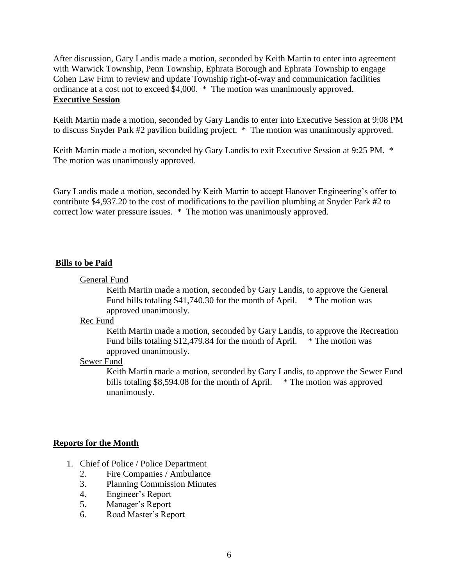After discussion, Gary Landis made a motion, seconded by Keith Martin to enter into agreement with Warwick Township, Penn Township, Ephrata Borough and Ephrata Township to engage Cohen Law Firm to review and update Township right-of-way and communication facilities ordinance at a cost not to exceed \$4,000. \* The motion was unanimously approved. **Executive Session**

Keith Martin made a motion, seconded by Gary Landis to enter into Executive Session at 9:08 PM to discuss Snyder Park #2 pavilion building project. \* The motion was unanimously approved.

Keith Martin made a motion, seconded by Gary Landis to exit Executive Session at 9:25 PM.  $*$ The motion was unanimously approved.

Gary Landis made a motion, seconded by Keith Martin to accept Hanover Engineering's offer to contribute \$4,937.20 to the cost of modifications to the pavilion plumbing at Snyder Park #2 to correct low water pressure issues. \* The motion was unanimously approved.

#### **Bills to be Paid**

#### General Fund

Keith Martin made a motion, seconded by Gary Landis, to approve the General Fund bills totaling \$41,740.30 for the month of April.  $*$  The motion was approved unanimously.

#### Rec Fund

Keith Martin made a motion, seconded by Gary Landis, to approve the Recreation Fund bills totaling \$12,479.84 for the month of April. \* The motion was approved unanimously.

#### Sewer Fund

Keith Martin made a motion, seconded by Gary Landis, to approve the Sewer Fund bills totaling \$8,594.08 for the month of April.  $*$  The motion was approved unanimously.

## **Reports for the Month**

- 1. Chief of Police / Police Department
	- 2. Fire Companies / Ambulance
	- 3. Planning Commission Minutes
	- 4. Engineer's Report
	- 5. Manager's Report
	- 6. Road Master's Report